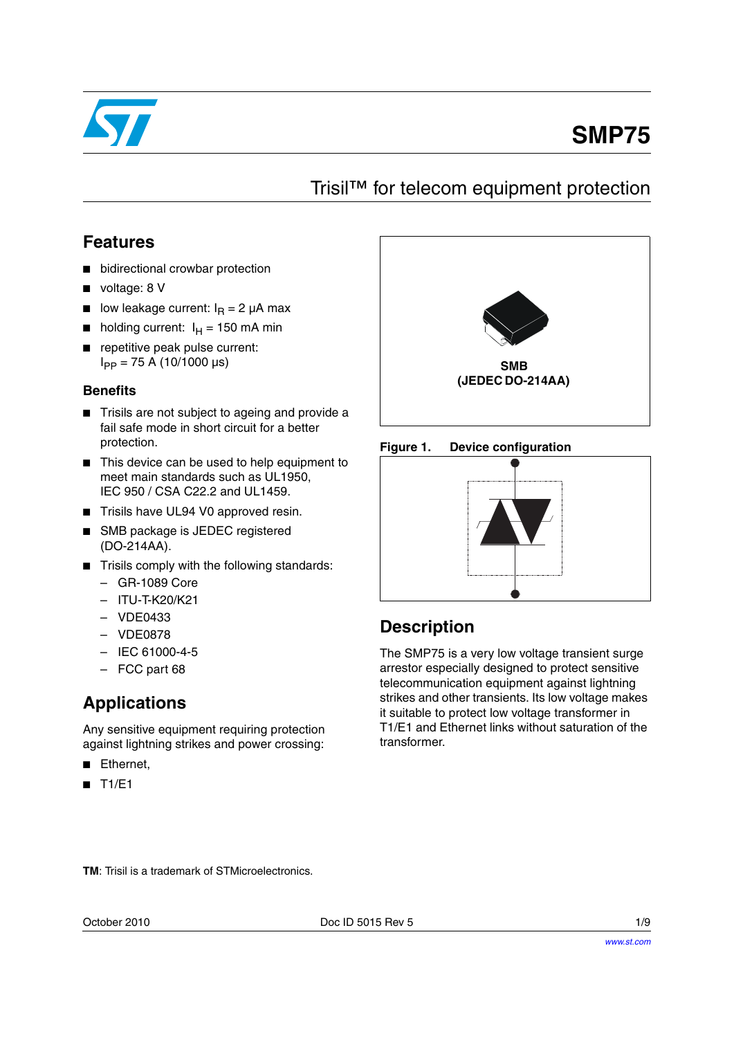

# **SMP75**

### Trisil™ for telecom equipment protection

### **Features**

- bidirectional crowbar protection
- voltage: 8 V
- low leakage current:  $I<sub>R</sub> = 2 \mu A$  max
- holding current:  $I_H = 150$  mA min
- repetitive peak pulse current:  $I_{PP}$  = 75 A (10/1000 µs)

#### **Benefits**

- Trisils are not subject to ageing and provide a fail safe mode in short circuit for a better protection.
- This device can be used to help equipment to meet main standards such as UL1950, IEC 950 / CSA C22.2 and UL1459.
- Trisils have UL94 V0 approved resin.
- SMB package is JEDEC registered (DO-214AA).
- Trisils comply with the following standards:
	- GR-1089 Core
	- ITU-T-K20/K21
	- VDE0433
	- VDE0878
	- IEC 61000-4-5
	- FCC part 68

### **Applications**

Any sensitive equipment requiring protection against lightning strikes and power crossing:

- Ethernet,
- T1/E1







### **Description**

The SMP75 is a very low voltage transient surge arrestor especially designed to protect sensitive telecommunication equipment against lightning strikes and other transients. Its low voltage makes it suitable to protect low voltage transformer in T1/E1 and Ethernet links without saturation of the transformer.

**TM**: Trisil is a trademark of STMicroelectronics.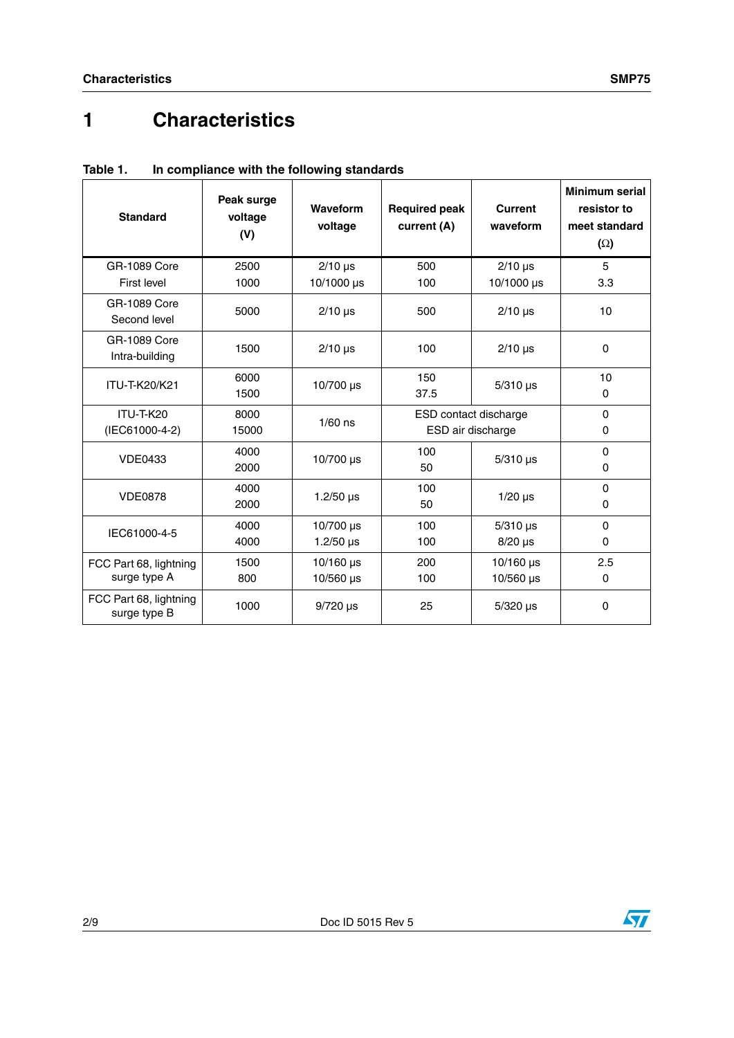# **1 Characteristics**

| <b>Standard</b>                        | Peak surge<br>voltage<br>(V) | Waveform<br>voltage           | <b>Required peak</b><br>current (A)        | <b>Current</b><br>waveform      | <b>Minimum serial</b><br>resistor to<br>meet standard<br>$(\Omega)$ |
|----------------------------------------|------------------------------|-------------------------------|--------------------------------------------|---------------------------------|---------------------------------------------------------------------|
| <b>GR-1089 Core</b>                    | 2500                         | $2/10$ µs                     | 500                                        | $2/10$ µs                       | 5                                                                   |
| First level                            | 1000                         | 10/1000 µs                    | 100                                        | 10/1000 µs                      | 3.3                                                                 |
| <b>GR-1089 Core</b><br>Second level    | 5000                         | $2/10$ µs                     | 500                                        | $2/10$ µs                       | 10                                                                  |
| <b>GR-1089 Core</b><br>Intra-building  | 1500                         | $2/10$ µs                     | 100                                        | $2/10$ µs                       | 0                                                                   |
| ITU-T-K20/K21                          | 6000<br>1500                 | 10/700 µs                     | 150<br>37.5                                | $5/310$ µs                      | 10<br>0                                                             |
| ITU-T-K20<br>(IEC61000-4-2)            | 8000<br>15000                | $1/60$ ns                     | ESD contact discharge<br>ESD air discharge |                                 | $\Omega$<br>0                                                       |
| <b>VDE0433</b>                         | 4000<br>2000                 | 10/700 µs                     | 100<br>50                                  | $5/310$ µs                      | $\Omega$<br>0                                                       |
| <b>VDE0878</b>                         | 4000<br>2000                 | 1.2/50 $\mu$ s                | 100<br>50                                  | $1/20$ $\mu$ s                  | $\Omega$<br>0                                                       |
| IEC61000-4-5                           | 4000<br>4000                 | 10/700 µs<br>$1.2/50 \,\mu s$ | 100<br>100                                 | $5/310$ µs<br>$8/20$ µs         | $\Omega$<br>$\Omega$                                                |
| FCC Part 68, lightning<br>surge type A | 1500<br>800                  | $10/160$ µs<br>$10/560$ µs    | 200<br>100                                 | $10/160 \,\mu s$<br>$10/560$ µs | 2.5<br>0                                                            |
| FCC Part 68, lightning<br>surge type B | 1000                         | $9/720$ µs                    | 25                                         | $5/320$ µs                      | $\Omega$                                                            |

**Table 1. In compliance with the following standards**

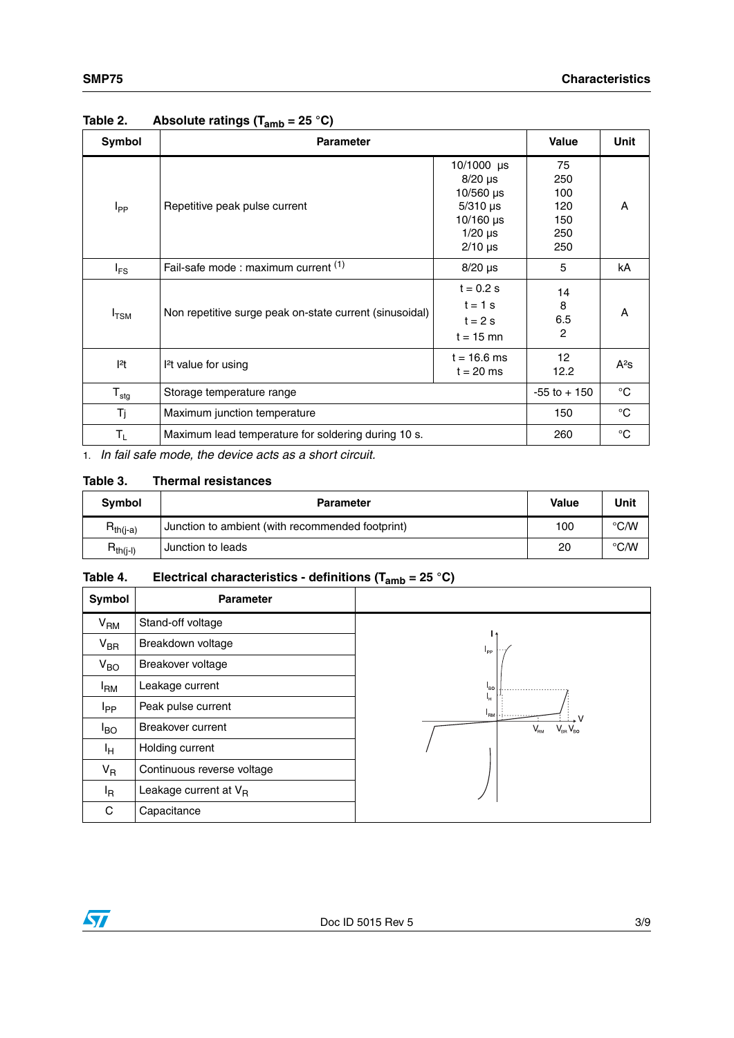| Symbol           | <b>Parameter</b>                                               | <b>Value</b>                                                                                          | Unit                                         |        |
|------------------|----------------------------------------------------------------|-------------------------------------------------------------------------------------------------------|----------------------------------------------|--------|
| $I_{PP}$         | Repetitive peak pulse current                                  | 10/1000 $\mu$ s<br>$8/20$ µs<br>10/560 $\mu$ s<br>$5/310$ µs<br>$10/160$ us<br>$1/20$ µs<br>$2/10$ µs | 75<br>250<br>100<br>120<br>150<br>250<br>250 | A      |
| $I_{FS}$         | Fail-safe mode : maximum current (1)                           | $8/20$ µs                                                                                             | 5                                            | kA     |
| $I_{\text{TSM}}$ | Non repetitive surge peak on-state current (sinusoidal)        | $t = 0.2 s$<br>$t = 1$ s<br>$t = 2s$<br>$t = 15$ mn                                                   | 14<br>8<br>6.5<br>$\overline{2}$             | A      |
| $ ^{2}t $        | $t = 16.6$ ms<br><sup>2</sup> t value for using<br>$t = 20$ ms |                                                                                                       | 12 <sup>2</sup><br>12.2                      | $A^2S$ |
| $T_{\text{stg}}$ | Storage temperature range                                      | $-55$ to $+150$                                                                                       | $^{\circ}C$                                  |        |
| Tj               | Maximum junction temperature                                   | 150                                                                                                   | $^{\circ}C$                                  |        |
| $T_{L}$          | Maximum lead temperature for soldering during 10 s.            | 260                                                                                                   | $^{\circ}C$                                  |        |

### **Table 2. Absolute ratings (Tamb = 25 °C)**

1. *In fail safe mode, the device acts as a short circuit.*

#### **Table 3. Thermal resistances**

| Symbol        | <b>Parameter</b>                                 | Value | Unit               |
|---------------|--------------------------------------------------|-------|--------------------|
| $R_{th(i-a)}$ | Junction to ambient (with recommended footprint) | 100   | $\rm ^{\circ}$ C/W |
| $R_{th(j-l)}$ | Junction to leads                                | 20    | $\degree$ C/W      |

### **Table 4. Electrical characteristics - definitions (Tamb = 25 °C)**

| Symbol            | <b>Parameter</b>           |                                         |
|-------------------|----------------------------|-----------------------------------------|
| V <sub>RM</sub>   | Stand-off voltage          |                                         |
| $V_{\sf BR}$      | Breakdown voltage          | $I_{\rm pp}$                            |
| $V_{BO}$          | Breakover voltage          |                                         |
| $I_{\mathsf{RM}}$ | Leakage current            | $I_{BO}$                                |
| I <sub>PP</sub>   | Peak pulse current         | ц.<br>l <sub>RM</sub>                   |
| $I_{BO}$          | Breakover current          | $V_{\text{\tiny RM}}$<br>$V_{BB}V_{BD}$ |
| Iн                | Holding current            |                                         |
| $V_R$             | Continuous reverse voltage |                                         |
| l <sub>R</sub>    | Leakage current at $V_R$   |                                         |
| С                 | Capacitance                |                                         |

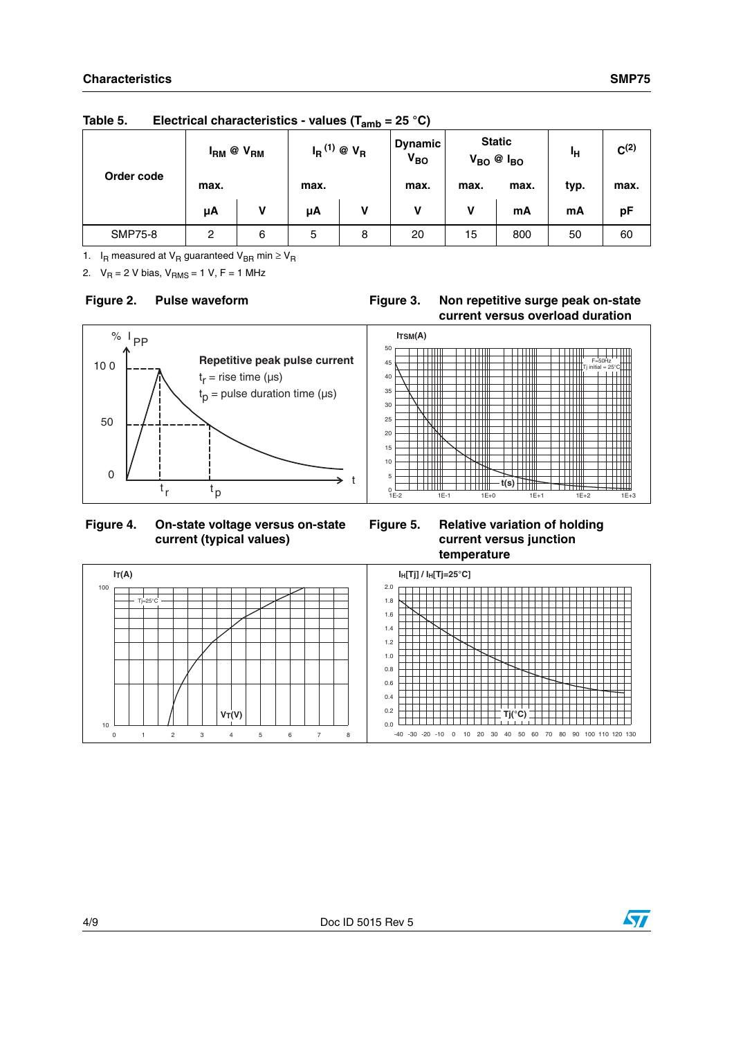|                | $I_{RM}$ @ $V_{RM}$ |   | $I_R^{(1)}$ @ $V_R$ |   | <b>Dynamic</b><br>V <sub>BO</sub> | <b>Static</b><br>$V_{BO}$ @ $I_{BO}$ |      | Чн   | $C^{(2)}$ |
|----------------|---------------------|---|---------------------|---|-----------------------------------|--------------------------------------|------|------|-----------|
| Order code     | max.                |   | max.                |   | max.                              | max.                                 | max. | typ. | max.      |
|                | μA                  | v | μA                  | v | v                                 | v                                    | mA   | mA   | рF        |
| <b>SMP75-8</b> | 2                   | 6 | 5                   | 8 | 20                                | 15                                   | 800  | 50   | 60        |

**Table 5. Electrical characteristics - values (Tamb = 25 °C)**

1.  $I_R$  measured at  $V_R$  guaranteed  $V_{BR}$  min  $\geq V_R$ 

2.  $V_R = 2 V \text{ bias}, V_{RMS} = 1 V, F = 1 MHz$ 

#### **Figure 2.** Pulse waveform **Figure 3.** Non repetitive surge peak on-state **current versus overload duration**



#### **Figure 4. On-state voltage versus on-state current (typical values)**

#### **Figure 5. Relative variation of holding current versus junction temperature**



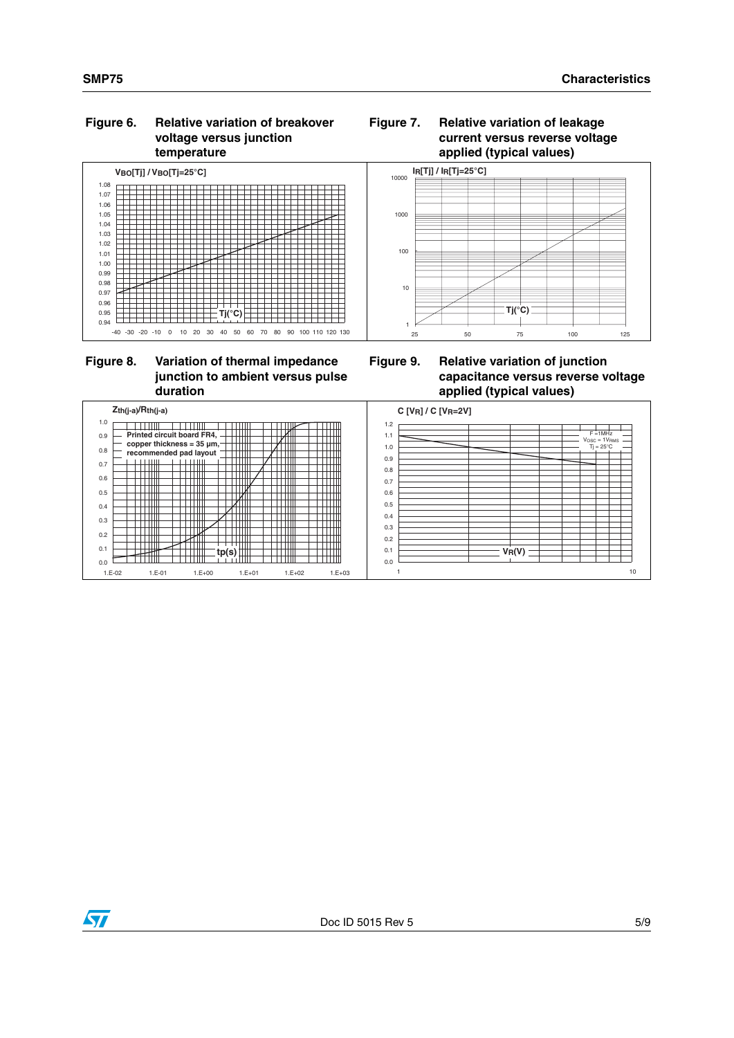#### **Figure 6. Relative variation of breakover voltage versus junction temperature**





#### **Figure 8. Variation of thermal impedance junction to ambient versus pulse duration**

**Figure 9. Relative variation of junction capacitance versus reverse voltage applied (typical values)**



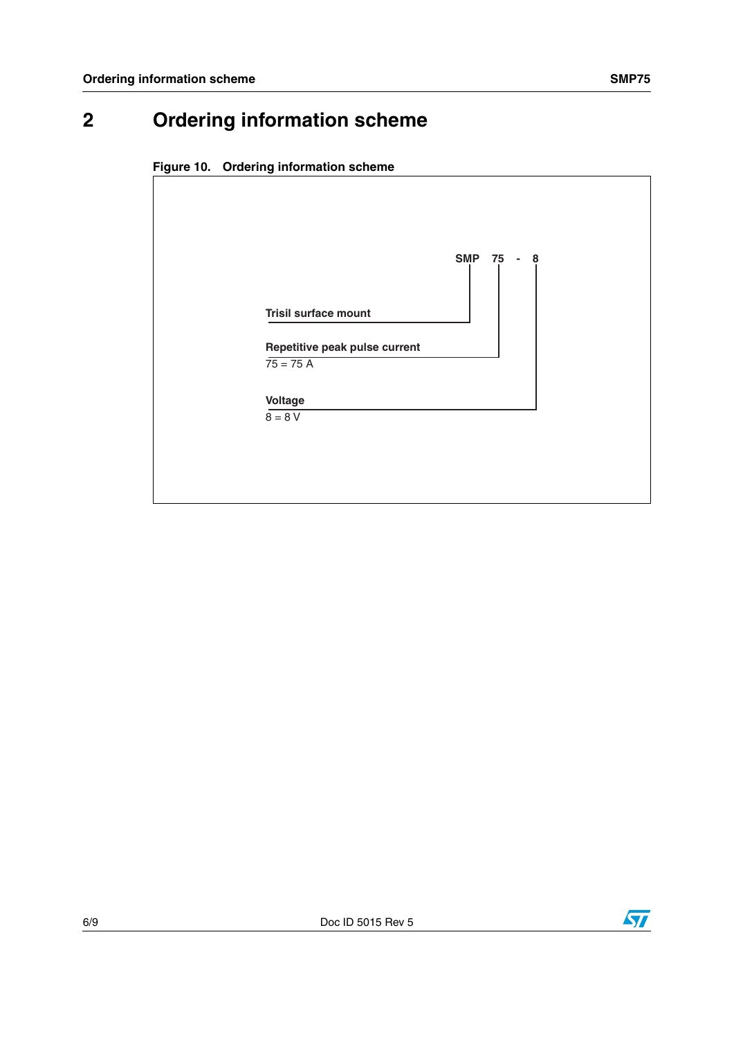# **2 Ordering information scheme**





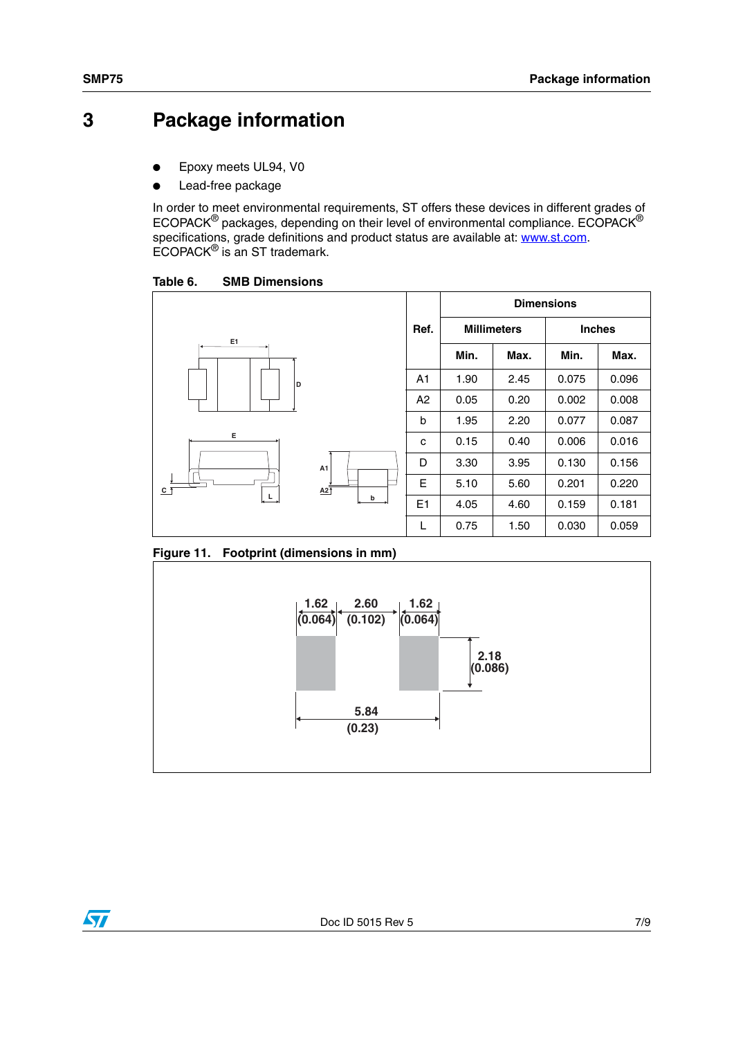### **3 Package information**

- Epoxy meets UL94, V0
- Lead-free package

In order to meet environmental requirements, ST offers these devices in different grades of ECOPACK® packages, depending on their level of environmental compliance. ECOPACK® specifications, grade definitions and product status are available at: **www.st.com**. ECOPACK® is an ST trademark.

Table 6. **SMB Dimensions** 



<span id="page-6-0"></span>**Figure 11. Footprint (dimensions in mm)**

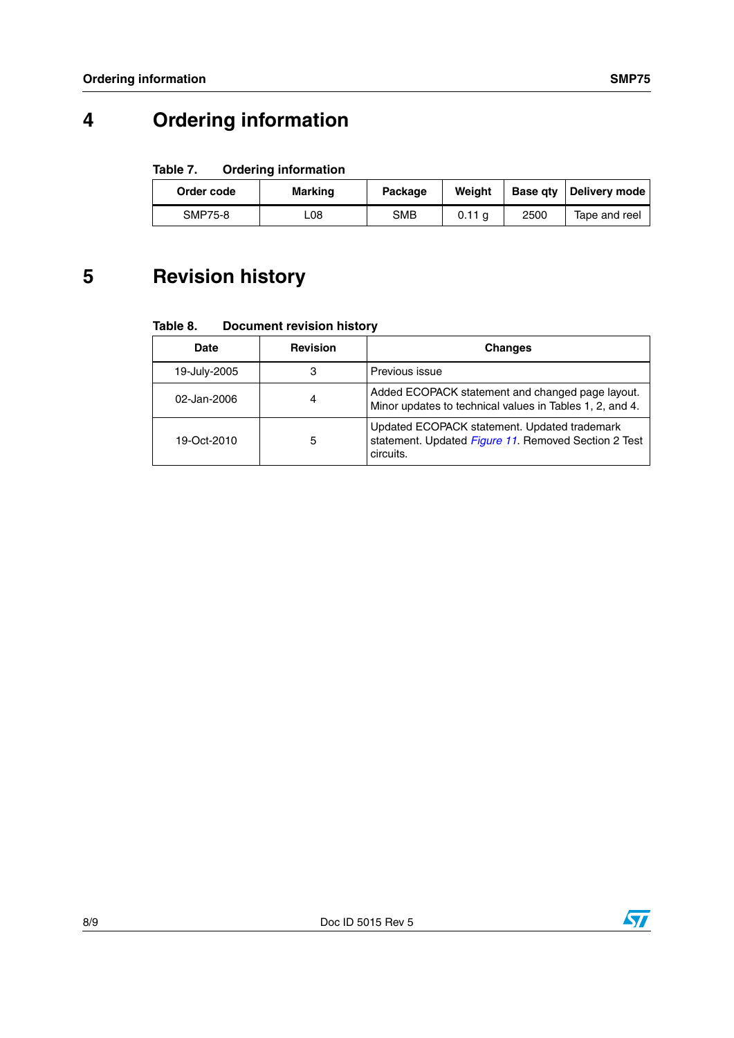# **4 Ordering information**

#### Table 7. **Ordering information**

| Order code     | Marking | Package | Weight | Base gty | <b>Delivery mode</b> |
|----------------|---------|---------|--------|----------|----------------------|
| <b>SMP75-8</b> | L08     | SMB     | 0.11 a | 2500     | Tape and reel        |

## **5 Revision history**

Table 8. **Document revision history** 

| <b>Date</b>  | <b>Revision</b> | <b>Changes</b>                                                                                                    |
|--------------|-----------------|-------------------------------------------------------------------------------------------------------------------|
| 19-July-2005 | 3               | Previous issue                                                                                                    |
| 02-Jan-2006  | 4               | Added ECOPACK statement and changed page layout.<br>Minor updates to technical values in Tables 1, 2, and 4.      |
| 19-Oct-2010  | 5               | Updated ECOPACK statement. Updated trademark<br>statement. Updated Figure 11. Removed Section 2 Test<br>circuits. |